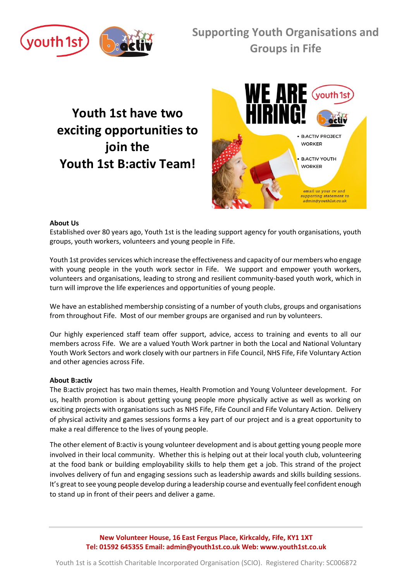

# **Youth 1st have two exciting opportunities to join the Youth 1st B:activ Team!**



### **About Us**

Established over 80 years ago, Youth 1st is the leading support agency for youth organisations, youth groups, youth workers, volunteers and young people in Fife.

Youth 1st provides services which increase the effectiveness and capacity of our members who engage with young people in the youth work sector in Fife. We support and empower youth workers, volunteers and organisations, leading to strong and resilient community-based youth work, which in turn will improve the life experiences and opportunities of young people.

We have an established membership consisting of a number of youth clubs, groups and organisations from throughout Fife. Most of our member groups are organised and run by volunteers.

Our highly experienced staff team offer support, advice, access to training and events to all our members across Fife. We are a valued Youth Work partner in both the Local and National Voluntary Youth Work Sectors and work closely with our partners in Fife Council, NHS Fife, Fife Voluntary Action and other agencies across Fife.

#### **About B:activ**

The B:activ project has two main themes, Health Promotion and Young Volunteer development. For us, health promotion is about getting young people more physically active as well as working on exciting projects with organisations such as NHS Fife, Fife Council and Fife Voluntary Action. Delivery of physical activity and games sessions forms a key part of our project and is a great opportunity to make a real difference to the lives of young people.

The other element of B:activ is young volunteer development and is about getting young people more involved in their local community. Whether this is helping out at their local youth club, volunteering at the food bank or building employability skills to help them get a job. This strand of the project involves delivery of fun and engaging sessions such as leadership awards and skills building sessions. It's great to see young people develop during a leadership course and eventually feel confident enough to stand up in front of their peers and deliver a game.

> **New Volunteer House, 16 East Fergus Place, Kirkcaldy, Fife, KY1 1XT Tel: 01592 645355 Email: admin@youth1st.co.uk Web: www.youth1st.co.uk**